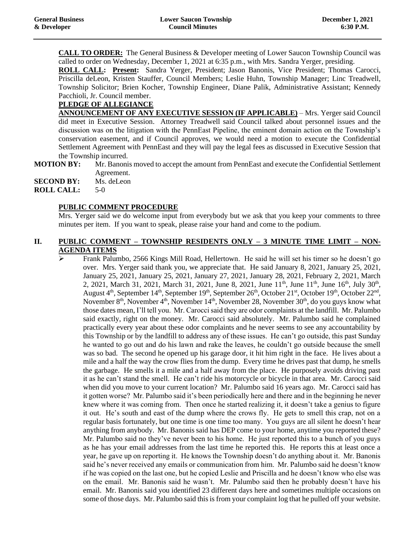**CALL TO ORDER:** The General Business & Developer meeting of Lower Saucon Township Council was called to order on Wednesday, December 1, 2021 at 6:35 p.m., with Mrs. Sandra Yerger, presiding.

**ROLL CALL: Present:** Sandra Yerger, President; Jason Banonis, Vice President; Thomas Carocci, Priscilla deLeon, Kristen Stauffer, Council Members; Leslie Huhn, Township Manager; Linc Treadwell, Township Solicitor; Brien Kocher, Township Engineer, Diane Palik, Administrative Assistant; Kennedy Pacchioli, Jr. Council member.

# **PLEDGE OF ALLEGIANCE**

**ANNOUNCEMENT OF ANY EXECUTIVE SESSION (IF APPLICABLE)** – Mrs. Yerger said Council did meet in Executive Session. Attorney Treadwell said Council talked about personnel issues and the discussion was on the litigation with the PennEast Pipeline, the eminent domain action on the Township's conservation easement, and if Council approves, we would need a motion to execute the Confidential Settlement Agreement with PennEast and they will pay the legal fees as discussed in Executive Session that the Township incurred.

**MOTION BY:** Mr. Banonis moved to accept the amount from PennEast and execute the Confidential Settlement Agreement.

**SECOND BY:** Ms. deLeon

**ROLL CALL:** 5-0

# **PUBLIC COMMENT PROCEDURE**

Mrs. Yerger said we do welcome input from everybody but we ask that you keep your comments to three minutes per item. If you want to speak, please raise your hand and come to the podium.

## **II. PUBLIC COMMENT – TOWNSHIP RESIDENTS ONLY – 3 MINUTE TIME LIMIT – NON-AGENDA ITEMS**

➢ Frank Palumbo, 2566 Kings Mill Road, Hellertown. He said he will set his timer so he doesn't go over. Mrs. Yerger said thank you, we appreciate that. He said January 8, 2021, January 25, 2021, January 25, 2021, January 25, 2021, January 27, 2021, January 28, 2021, February 2, 2021, March 2, 2021, March 31, 2021, March 31, 2021, June 8, 2021, June 11<sup>th</sup>, June 11<sup>th</sup>, June 16<sup>th</sup>, July 30<sup>th</sup>, August 4<sup>th</sup>, September 14<sup>th</sup>, September 19<sup>th</sup>, September 26<sup>th</sup>, October 21<sup>st</sup>, October 19<sup>th</sup>, October 22<sup>nd</sup>, November  $8<sup>th</sup>$ , November  $4<sup>th</sup>$ , November  $14<sup>th</sup>$ , November 28, November  $30<sup>th</sup>$ , do you guys know what those dates mean, I'll tell you. Mr. Carocci said they are odor complaints at the landfill. Mr. Palumbo said exactly, right on the money. Mr. Carocci said absolutely. Mr. Palumbo said he complained practically every year about these odor complaints and he never seems to see any accountability by this Township or by the landfill to address any of these issues. He can't go outside, this past Sunday he wanted to go out and do his lawn and rake the leaves, he couldn't go outside because the smell was so bad. The second he opened up his garage door, it hit him right in the face. He lives about a mile and a half the way the crow flies from the dump. Every time he drives past that dump, he smells the garbage. He smells it a mile and a half away from the place. He purposely avoids driving past it as he can't stand the smell. He can't ride his motorcycle or bicycle in that area. Mr. Carocci said when did you move to your current location? Mr. Palumbo said 16 years ago. Mr. Carocci said has it gotten worse? Mr. Palumbo said it's been periodically here and there and in the beginning he never knew where it was coming from. Then once he started realizing it, it doesn't take a genius to figure it out. He's south and east of the dump where the crows fly. He gets to smell this crap, not on a regular basis fortunately, but one time is one time too many. You guys are all silent he doesn't hear anything from anybody. Mr. Banonis said has DEP come to your home, anytime you reported these? Mr. Palumbo said no they've never been to his home. He just reported this to a bunch of you guys as he has your email addresses from the last time he reported this. He reports this at least once a year, he gave up on reporting it. He knows the Township doesn't do anything about it. Mr. Banonis said he's never received any emails or communication from him. Mr. Palumbo said he doesn't know if he was copied on the last one, but he copied Leslie and Priscilla and he doesn't know who else was on the email. Mr. Banonis said he wasn't. Mr. Palumbo said then he probably doesn't have his email. Mr. Banonis said you identified 23 different days here and sometimes multiple occasions on some of those days. Mr. Palumbo said this is from your complaint log that he pulled off your website.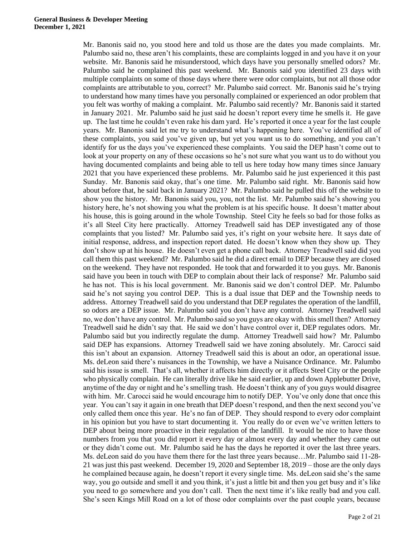Mr. Banonis said no, you stood here and told us those are the dates you made complaints. Mr. Palumbo said no, these aren't his complaints, these are complaints logged in and you have it on your website. Mr. Banonis said he misunderstood, which days have you personally smelled odors? Mr. Palumbo said he complained this past weekend. Mr. Banonis said you identified 23 days with multiple complaints on some of those days where there were odor complaints, but not all those odor complaints are attributable to you, correct? Mr. Palumbo said correct. Mr. Banonis said he's trying to understand how many times have you personally complained or experienced an odor problem that you felt was worthy of making a complaint. Mr. Palumbo said recently? Mr. Banonis said it started in January 2021. Mr. Palumbo said he just said he doesn't report every time he smells it. He gave up. The last time he couldn't even rake his dam yard. He's reported it once a year for the last couple years. Mr. Banonis said let me try to understand what's happening here. You've identified all of these complaints, you said you've given up, but yet you want us to do something, and you can't identify for us the days you've experienced these complaints. You said the DEP hasn't come out to look at your property on any of these occasions so he's not sure what you want us to do without you having documented complaints and being able to tell us here today how many times since January 2021 that you have experienced these problems. Mr. Palumbo said he just experienced it this past Sunday. Mr. Banonis said okay, that's one time. Mr. Palumbo said right. Mr. Banonis said how about before that, he said back in January 2021? Mr. Palumbo said he pulled this off the website to show you the history. Mr. Banonis said you, you, not the list. Mr. Palumbo said he's showing you history here, he's not showing you what the problem is at his specific house. It doesn't matter about his house, this is going around in the whole Township. Steel City he feels so bad for those folks as it's all Steel City here practically. Attorney Treadwell said has DEP investigated any of those complaints that you listed? Mr. Palumbo said yes, it's right on your website here. It says date of initial response, address, and inspection report dated. He doesn't know when they show up. They don't show up at his house. He doesn't even get a phone call back. Attorney Treadwell said did you call them this past weekend? Mr. Palumbo said he did a direct email to DEP because they are closed on the weekend. They have not responded. He took that and forwarded it to you guys. Mr. Banonis said have you been in touch with DEP to complain about their lack of response? Mr. Palumbo said he has not. This is his local government. Mr. Banonis said we don't control DEP. Mr. Palumbo said he's not saying you control DEP. This is a dual issue that DEP and the Township needs to address. Attorney Treadwell said do you understand that DEP regulates the operation of the landfill, so odors are a DEP issue. Mr. Palumbo said you don't have any control. Attorney Treadwell said no, we don't have any control. Mr. Palumbo said so you guys are okay with this smell then? Attorney Treadwell said he didn't say that. He said we don't have control over it, DEP regulates odors. Mr. Palumbo said but you indirectly regulate the dump. Attorney Treadwell said how? Mr. Palumbo said DEP has expansions. Attorney Treadwell said we have zoning absolutely. Mr. Carocci said this isn't about an expansion. Attorney Treadwell said this is about an odor, an operational issue. Ms. deLeon said there's nuisances in the Township, we have a Nuisance Ordinance. Mr. Palumbo said his issue is smell. That's all, whether it affects him directly or it affects Steel City or the people who physically complain. He can literally drive like he said earlier, up and down Applebutter Drive, anytime of the day or night and he's smelling trash. He doesn't think any of you guys would disagree with him. Mr. Carocci said he would encourage him to notify DEP. You've only done that once this year. You can't say it again in one breath that DEP doesn't respond, and then the next second you've only called them once this year. He's no fan of DEP. They should respond to every odor complaint in his opinion but you have to start documenting it. You really do or even we've written letters to DEP about being more proactive in their regulation of the landfill. It would be nice to have those numbers from you that you did report it every day or almost every day and whether they came out or they didn't come out. Mr. Palumbo said he has the days he reported it over the last three years. Ms. deLeon said do you have them there for the last three years because…Mr. Palumbo said 11-28- 21 was just this past weekend. December 19, 2020 and September 18, 2019 – those are the only days he complained because again, he doesn't report it every single time. Ms. deLeon said she's the same way, you go outside and smell it and you think, it's just a little bit and then you get busy and it's like you need to go somewhere and you don't call. Then the next time it's like really bad and you call. She's seen Kings Mill Road on a lot of those odor complaints over the past couple years, because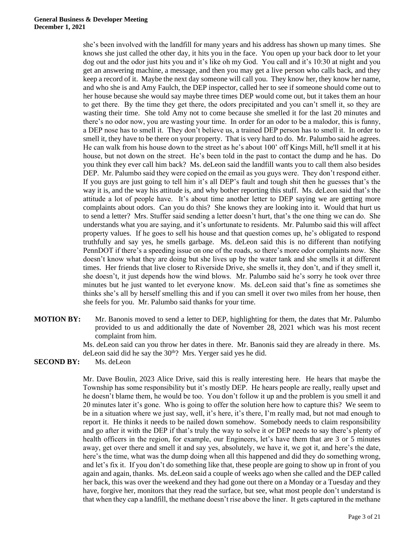she's been involved with the landfill for many years and his address has shown up many times. She knows she just called the other day, it hits you in the face. You open up your back door to let your dog out and the odor just hits you and it's like oh my God. You call and it's 10:30 at night and you get an answering machine, a message, and then you may get a live person who calls back, and they keep a record of it. Maybe the next day someone will call you. They know her, they know her name, and who she is and Amy Faulch, the DEP inspector, called her to see if someone should come out to her house because she would say maybe three times DEP would come out, but it takes them an hour to get there. By the time they get there, the odors precipitated and you can't smell it, so they are wasting their time. She told Amy not to come because she smelled it for the last 20 minutes and there's no odor now, you are wasting your time. In order for an odor to be a malodor, this is funny, a DEP nose has to smell it. They don't believe us, a trained DEP person has to smell it. In order to smell it, they have to be there on your property. That is very hard to do. Mr. Palumbo said he agrees. He can walk from his house down to the street as he's about 100' off Kings Mill, he'll smell it at his house, but not down on the street. He's been told in the past to contact the dump and he has. Do you think they ever call him back? Ms. deLeon said the landfill wants you to call them also besides DEP. Mr. Palumbo said they were copied on the email as you guys were. They don't respond either. If you guys are just going to tell him it's all DEP's fault and tough shit then he guesses that's the way it is, and the way his attitude is, and why bother reporting this stuff. Ms. deLeon said that's the attitude a lot of people have. It's about time another letter to DEP saying we are getting more complaints about odors. Can you do this? She knows they are looking into it. Would that hurt us to send a letter? Mrs. Stuffer said sending a letter doesn't hurt, that's the one thing we can do. She understands what you are saying, and it's unfortunate to residents. Mr. Palumbo said this will affect property values. If he goes to sell his house and that question comes up, he's obligated to respond truthfully and say yes, he smells garbage. Ms. deLeon said this is no different than notifying PennDOT if there's a speeding issue on one of the roads, so there's more odor complaints now. She doesn't know what they are doing but she lives up by the water tank and she smells it at different times. Her friends that live closer to Riverside Drive, she smells it, they don't, and if they smell it, she doesn't, it just depends how the wind blows. Mr. Palumbo said he's sorry he took over three minutes but he just wanted to let everyone know. Ms. deLeon said that's fine as sometimes she thinks she's all by herself smelling this and if you can smell it over two miles from her house, then she feels for you. Mr. Palumbo said thanks for your time.

**MOTION BY:** Mr. Banonis moved to send a letter to DEP, highlighting for them, the dates that Mr. Palumbo provided to us and additionally the date of November 28, 2021 which was his most recent complaint from him.

> Ms. deLeon said can you throw her dates in there. Mr. Banonis said they are already in there. Ms. deLeon said did he say the 30<sup>th</sup>? Mrs. Yerger said yes he did.

**SECOND BY:** Ms. deLeon

Mr. Dave Boulin, 2023 Alice Drive, said this is really interesting here. He hears that maybe the Township has some responsibility but it's mostly DEP. He hears people are really, really upset and he doesn't blame them, he would be too. You don't follow it up and the problem is you smell it and 20 minutes later it's gone. Who is going to offer the solution here how to capture this? We seem to be in a situation where we just say, well, it's here, it's there, I'm really mad, but not mad enough to report it. He thinks it needs to be nailed down somehow. Somebody needs to claim responsibility and go after it with the DEP if that's truly the way to solve it or DEP needs to say there's plenty of health officers in the region, for example, our Engineers, let's have them that are 3 or 5 minutes away, get over there and smell it and say yes, absolutely, we have it, we got it, and here's the date, here's the time, what was the dump doing when all this happened and did they do something wrong, and let's fix it. If you don't do something like that, these people are going to show up in front of you again and again, thanks. Ms. deLeon said a couple of weeks ago when she called and the DEP called her back, this was over the weekend and they had gone out there on a Monday or a Tuesday and they have, forgive her, monitors that they read the surface, but see, what most people don't understand is that when they cap a landfill, the methane doesn't rise above the liner. It gets captured in the methane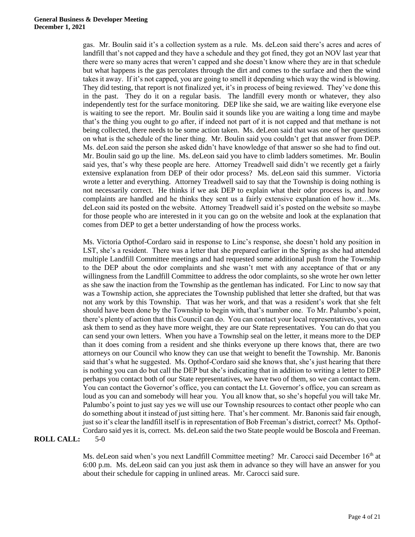gas. Mr. Boulin said it's a collection system as a rule. Ms. deLeon said there's acres and acres of landfill that's not capped and they have a schedule and they got fined, they got an NOV last year that there were so many acres that weren't capped and she doesn't know where they are in that schedule but what happens is the gas percolates through the dirt and comes to the surface and then the wind takes it away. If it's not capped, you are going to smell it depending which way the wind is blowing. They did testing, that report is not finalized yet, it's in process of being reviewed. They've done this in the past. They do it on a regular basis. The landfill every month or whatever, they also independently test for the surface monitoring. DEP like she said, we are waiting like everyone else is waiting to see the report. Mr. Boulin said it sounds like you are waiting a long time and maybe that's the thing you ought to go after, if indeed not part of it is not capped and that methane is not being collected, there needs to be some action taken. Ms. deLeon said that was one of her questions on what is the schedule of the liner thing. Mr. Boulin said you couldn't get that answer from DEP. Ms. deLeon said the person she asked didn't have knowledge of that answer so she had to find out. Mr. Boulin said go up the line. Ms. deLeon said you have to climb ladders sometimes. Mr. Boulin said yes, that's why these people are here. Attorney Treadwell said didn't we recently get a fairly extensive explanation from DEP of their odor process? Ms. deLeon said this summer. Victoria wrote a letter and everything. Attorney Treadwell said to say that the Township is doing nothing is not necessarily correct. He thinks if we ask DEP to explain what their odor process is, and how complaints are handled and he thinks they sent us a fairly extensive explanation of how it…Ms. deLeon said its posted on the website. Attorney Treadwell said it's posted on the website so maybe for those people who are interested in it you can go on the website and look at the explanation that comes from DEP to get a better understanding of how the process works.

Ms. Victoria Opthof-Cordaro said in response to Linc's response, she doesn't hold any position in LST, she's a resident. There was a letter that she prepared earlier in the Spring as she had attended multiple Landfill Committee meetings and had requested some additional push from the Township to the DEP about the odor complaints and she wasn't met with any acceptance of that or any willingness from the Landfill Committee to address the odor complaints, so she wrote her own letter as she saw the inaction from the Township as the gentleman has indicated. For Linc to now say that was a Township action, she appreciates the Township published that letter she drafted, but that was not any work by this Township. That was her work, and that was a resident's work that she felt should have been done by the Township to begin with, that's number one. To Mr. Palumbo's point, there's plenty of action that this Council can do. You can contact your local representatives, you can ask them to send as they have more weight, they are our State representatives. You can do that you can send your own letters. When you have a Township seal on the letter, it means more to the DEP than it does coming from a resident and she thinks everyone up there knows that, there are two attorneys on our Council who know they can use that weight to benefit the Township. Mr. Banonis said that's what he suggested. Ms. Opthof-Cordaro said she knows that, she's just hearing that there is nothing you can do but call the DEP but she's indicating that in addition to writing a letter to DEP perhaps you contact both of our State representatives, we have two of them, so we can contact them. You can contact the Governor's office, you can contact the Lt. Governor's office, you can scream as loud as you can and somebody will hear you. You all know that, so she's hopeful you will take Mr. Palumbo's point to just say yes we will use our Township resources to contact other people who can do something about it instead of just sitting here. That's her comment. Mr. Banonis said fair enough, just so it's clear the landfill itself is in representation of Bob Freeman's district, correct? Ms. Opthof-Cordaro said yes it is, correct. Ms. deLeon said the two State people would be Boscola and Freeman.

#### **ROLL CALL:** 5-0

Ms. deLeon said when's you next Landfill Committee meeting? Mr. Carocci said December 16<sup>th</sup> at 6:00 p.m. Ms. deLeon said can you just ask them in advance so they will have an answer for you about their schedule for capping in unlined areas. Mr. Carocci said sure.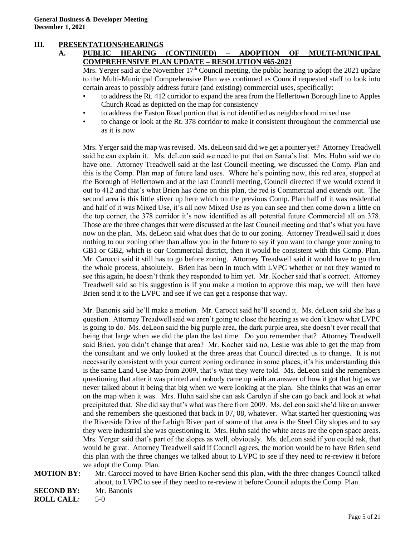# **III. PRESENTATIONS/HEARINGS**

# **A. PUBLIC HEARING (CONTINUED) – ADOPTION OF MULTI-MUNICIPAL COMPREHENSIVE PLAN UPDATE – RESOLUTION #65-2021**

Mrs. Yerger said at the November  $17<sup>th</sup>$  Council meeting, the public hearing to adopt the 2021 update to the Multi-Municipal Comprehensive Plan was continued as Council requested staff to look into certain areas to possibly address future (and existing) commercial uses, specifically:

- to address the Rt. 412 corridor to expand the area from the Hellertown Borough line to Apples Church Road as depicted on the map for consistency
- to address the Easton Road portion that is not identified as neighborhood mixed use
- to change or look at the Rt. 378 corridor to make it consistent throughout the commercial use as it is now

Mrs. Yerger said the map was revised. Ms. deLeon said did we get a pointer yet? Attorney Treadwell said he can explain it. Ms. deLeon said we need to put that on Santa's list. Mrs. Huhn said we do have one. Attorney Treadwell said at the last Council meeting, we discussed the Comp. Plan and this is the Comp. Plan map of future land uses. Where he's pointing now, this red area, stopped at the Borough of Hellertown and at the last Council meeting, Council directed if we would extend it out to 412 and that's what Brien has done on this plan, the red is Commercial and extends out. The second area is this little sliver up here which on the previous Comp. Plan half of it was residential and half of it was Mixed Use, it's all now Mixed Use as you can see and then come down a little on the top corner, the 378 corridor it's now identified as all potential future Commercial all on 378. Those are the three changes that were discussed at the last Council meeting and that's what you have now on the plan. Ms. deLeon said what does that do to our zoning. Attorney Treadwell said it does nothing to our zoning other than allow you in the future to say if you want to change your zoning to GB1 or GB2, which is our Commercial district, then it would be consistent with this Comp. Plan. Mr. Carocci said it still has to go before zoning. Attorney Treadwell said it would have to go thru the whole process, absolutely. Brien has been in touch with LVPC whether or not they wanted to see this again, he doesn't think they responded to him yet. Mr. Kocher said that's correct. Attorney Treadwell said so his suggestion is if you make a motion to approve this map, we will then have Brien send it to the LVPC and see if we can get a response that way.

Mr. Banonis said he'll make a motion. Mr. Carocci said he'll second it. Ms. deLeon said she has a question. Attorney Treadwell said we aren't going to close the hearing as we don't know what LVPC is going to do. Ms. deLeon said the big purple area, the dark purple area, she doesn't ever recall that being that large when we did the plan the last time. Do you remember that? Attorney Treadwell said Brien, you didn't change that area? Mr. Kocher said no, Leslie was able to get the map from the consultant and we only looked at the three areas that Council directed us to change. It is not necessarily consistent with your current zoning ordinance in some places, it's his understanding this is the same Land Use Map from 2009, that's what they were told. Ms. deLeon said she remembers questioning that after it was printed and nobody came up with an answer of how it got that big as we never talked about it being that big when we were looking at the plan. She thinks that was an error on the map when it was. Mrs. Huhn said she can ask Carolyn if she can go back and look at what precipitated that. She did say that's what was there from 2009. Ms. deLeon said she'd like an answer and she remembers she questioned that back in 07, 08, whatever. What started her questioning was the Riverside Drive of the Lehigh River part of some of that area is the Steel City slopes and to say they were industrial she was questioning it. Mrs. Huhn said the white areas are the open space areas. Mrs. Yerger said that's part of the slopes as well, obviously. Ms. deLeon said if you could ask, that would be great. Attorney Treadwell said if Council agrees, the motion would be to have Brien send this plan with the three changes we talked about to LVPC to see if they need to re-review it before we adopt the Comp. Plan.

**MOTION BY:** Mr. Carocci moved to have Brien Kocher send this plan, with the three changes Council talked about, to LVPC to see if they need to re-review it before Council adopts the Comp. Plan.

**SECOND BY:** Mr. Banonis **ROLL CALL**: 5-0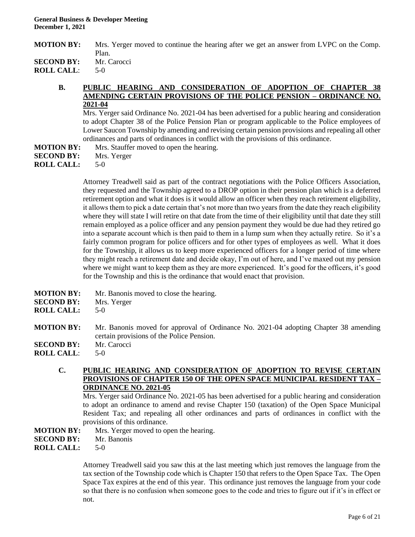| <b>MOTION BY:</b> | Mrs. Yerger moved to continue the hearing after we get an answer from LVPC on the Comp. |
|-------------------|-----------------------------------------------------------------------------------------|
|                   | Plan.                                                                                   |

to open the hearing.

**SECOND BY:** Mr. Carocci

**ROLL CALL**: 5-0

#### **B. PUBLIC HEARING AND CONSIDERATION OF ADOPTION OF CHAPTER AMENDING CERTAIN PROVISIONS OF THE POLICE PENSION – ORDINANCE NO. 2021-04**

Mrs. Yerger said Ordinance No. 2021-04 has been advertised for a public hearing and consideration to adopt Chapter 38 of the Police Pension Plan or program applicable to the Police employees of Lower Saucon Township by amending and revising certain pension provisions and repealing all other ordinances and parts of ordinances in conflict with the provisions of this ordinance.

| <b>MOTION BY:</b> | Mrs. Stauffer moved |
|-------------------|---------------------|
| <b>SECOND BY:</b> | Mrs. Yerger         |
| <b>ROLL CALL:</b> | $5-0$               |

Attorney Treadwell said as part of the contract negotiations with the Police Officers Association, they requested and the Township agreed to a DROP option in their pension plan which is a deferred retirement option and what it does is it would allow an officer when they reach retirement eligibility, it allows them to pick a date certain that's not more than two years from the date they reach eligibility where they will state I will retire on that date from the time of their eligibility until that date they still remain employed as a police officer and any pension payment they would be due had they retired go into a separate account which is then paid to them in a lump sum when they actually retire. So it's a fairly common program for police officers and for other types of employees as well. What it does for the Township, it allows us to keep more experienced officers for a longer period of time where they might reach a retirement date and decide okay, I'm out of here, and I've maxed out my pension where we might want to keep them as they are more experienced. It's good for the officers, it's good for the Township and this is the ordinance that would enact that provision.

| <b>MOTION BY:</b><br><b>SECOND BY:</b><br><b>ROLL CALL:</b> | Mr. Banonis moved to close the hearing.<br>Mrs. Yerger<br>$5-0$                                                                   |
|-------------------------------------------------------------|-----------------------------------------------------------------------------------------------------------------------------------|
| <b>MOTION BY:</b>                                           | Mr. Banonis moved for approval of Ordinance No. 2021-04 adopting Chapter 38 amending<br>certain provisions of the Police Pension. |
| <b>SECOND BY:</b>                                           | Mr. Carocci                                                                                                                       |
| <b>ROLL CALL:</b>                                           | $5-0$                                                                                                                             |

**C. PUBLIC HEARING AND CONSIDERATION OF ADOPTION TO REVISE CERTAIN PROVISIONS OF CHAPTER 150 OF THE OPEN SPACE MUNICIPAL RESIDENT TAX – ORDINANCE NO. 2021-05**

Mrs. Yerger said Ordinance No. 2021-05 has been advertised for a public hearing and consideration to adopt an ordinance to amend and revise Chapter 150 (taxation) of the Open Space Municipal Resident Tax; and repealing all other ordinances and parts of ordinances in conflict with the provisions of this ordinance.

## **MOTION BY:** Mrs. Yerger moved to open the hearing.

**SECOND BY:** Mr. Banonis

**ROLL CALL:** 5-0

Attorney Treadwell said you saw this at the last meeting which just removes the language from the tax section of the Township code which is Chapter 150 that refers to the Open Space Tax. The Open Space Tax expires at the end of this year. This ordinance just removes the language from your code so that there is no confusion when someone goes to the code and tries to figure out if it's in effect or not.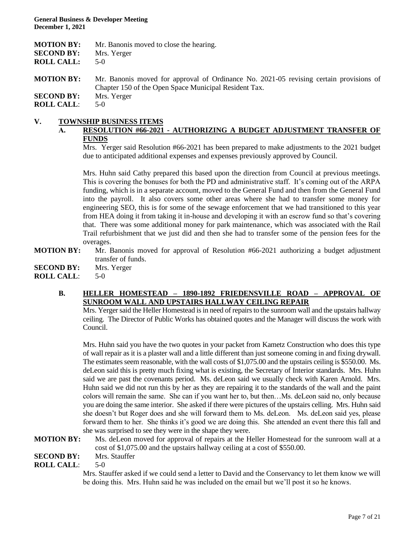| <b>MOTION BY:</b> | Mr. Banonis moved to close the hearing.                                                                                                         |
|-------------------|-------------------------------------------------------------------------------------------------------------------------------------------------|
| <b>SECOND BY:</b> | Mrs. Yerger                                                                                                                                     |
| <b>ROLL CALL:</b> | $5-0$                                                                                                                                           |
| <b>MOTION BY:</b> | Mr. Banonis moved for approval of Ordinance No. 2021-05 revising certain provisions of<br>Chapter 150 of the Open Space Municipal Resident Tax. |
| <b>SECOND BY:</b> | Mrs. Yerger                                                                                                                                     |
| <b>ROLL CALL:</b> | $5-0$                                                                                                                                           |

# **V. TOWNSHIP BUSINESS ITEMS**

# **A. RESOLUTION #66-2021 - AUTHORIZING A BUDGET ADJUSTMENT TRANSFER OF FUNDS**

Mrs. Yerger said Resolution #66-2021 has been prepared to make adjustments to the 2021 budget due to anticipated additional expenses and expenses previously approved by Council.

Mrs. Huhn said Cathy prepared this based upon the direction from Council at previous meetings. This is covering the bonuses for both the PD and administrative staff. It's coming out of the ARPA funding, which is in a separate account, moved to the General Fund and then from the General Fund into the payroll. It also covers some other areas where she had to transfer some money for engineering SEO, this is for some of the sewage enforcement that we had transitioned to this year from HEA doing it from taking it in-house and developing it with an escrow fund so that's covering that. There was some additional money for park maintenance, which was associated with the Rail Trail refurbishment that we just did and then she had to transfer some of the pension fees for the overages.

**MOTION BY:** Mr. Banonis moved for approval of Resolution #66-2021 authorizing a budget adjustment transfer of funds.

**SECOND BY:** Mrs. Yerger

**ROLL CALL**: 5-0

## **B. HELLER HOMESTEAD – 1890-1892 FRIEDENSVILLE ROAD – APPROVAL OF SUNROOM WALL AND UPSTAIRS HALLWAY CEILING REPAIR**

Mrs. Yerger said the Heller Homestead is in need of repairs to the sunroom wall and the upstairs hallway ceiling. The Director of Public Works has obtained quotes and the Manager will discuss the work with Council.

Mrs. Huhn said you have the two quotes in your packet from Kametz Construction who does this type of wall repair as it is a plaster wall and a little different than just someone coming in and fixing drywall. The estimates seem reasonable, with the wall costs of \$1,075.00 and the upstairs ceiling is \$550.00. Ms. deLeon said this is pretty much fixing what is existing, the Secretary of Interior standards. Mrs. Huhn said we are past the covenants period. Ms. deLeon said we usually check with Karen Arnold. Mrs. Huhn said we did not run this by her as they are repairing it to the standards of the wall and the paint colors will remain the same. She can if you want her to, but then…Ms. deLeon said no, only because you are doing the same interior. She asked if there were pictures of the upstairs celling. Mrs. Huhn said she doesn't but Roger does and she will forward them to Ms. deLeon. Ms. deLeon said yes, please forward them to her. She thinks it's good we are doing this. She attended an event there this fall and she was surprised to see they were in the shape they were.

**MOTION BY:** Ms. deLeon moved for approval of repairs at the Heller Homestead for the sunroom wall at a cost of \$1,075.00 and the upstairs hallway ceiling at a cost of \$550.00.

**SECOND BY:** Mrs. Stauffer

**ROLL CALL**: 5-0

Mrs. Stauffer asked if we could send a letter to David and the Conservancy to let them know we will be doing this. Mrs. Huhn said he was included on the email but we'll post it so he knows.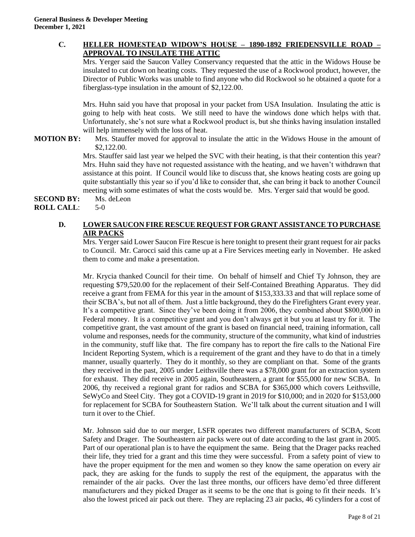## **C. HELLER HOMESTEAD WIDOW'S HOUSE – 1890-1892 FRIEDENSVILLE ROAD – APPROVAL TO INSULATE THE ATTIC**

Mrs. Yerger said the Saucon Valley Conservancy requested that the attic in the Widows House be insulated to cut down on heating costs. They requested the use of a Rockwool product, however, the Director of Public Works was unable to find anyone who did Rockwool so he obtained a quote for a fiberglass-type insulation in the amount of \$2,122.00.

Mrs. Huhn said you have that proposal in your packet from USA Insulation. Insulating the attic is going to help with heat costs. We still need to have the windows done which helps with that. Unfortunately, she's not sure what a Rockwool product is, but she thinks having insulation installed will help immensely with the loss of heat.

**MOTION BY:** Mrs. Stauffer moved for approval to insulate the attic in the Widows House in the amount of \$2,122.00.

> Mrs. Stauffer said last year we helped the SVC with their heating, is that their contention this year? Mrs. Huhn said they have not requested assistance with the heating, and we haven't withdrawn that assistance at this point. If Council would like to discuss that, she knows heating costs are going up quite substantially this year so if you'd like to consider that, she can bring it back to another Council meeting with some estimates of what the costs would be. Mrs. Yerger said that would be good.

#### **SECOND BY:** Ms. deLeon **ROLL CALL**: 5-0

# **D. LOWER SAUCON FIRE RESCUE REQUEST FOR GRANT ASSISTANCE TO PURCHASE AIR PACKS**

Mrs. Yerger said Lower Saucon Fire Rescue is here tonight to present their grant request for air packs to Council. Mr. Carocci said this came up at a Fire Services meeting early in November. He asked them to come and make a presentation.

Mr. Krycia thanked Council for their time. On behalf of himself and Chief Ty Johnson, they are requesting \$79,520.00 for the replacement of their Self-Contained Breathing Apparatus. They did receive a grant from FEMA for this year in the amount of \$153,333.33 and that will replace some of their SCBA's, but not all of them. Just a little background, they do the Firefighters Grant every year. It's a competitive grant. Since they've been doing it from 2006, they combined about \$800,000 in Federal money. It is a competitive grant and you don't always get it but you at least try for it. The competitive grant, the vast amount of the grant is based on financial need, training information, call volume and responses, needs for the community, structure of the community, what kind of industries in the community, stuff like that. The fire company has to report the fire calls to the National Fire Incident Reporting System, which is a requirement of the grant and they have to do that in a timely manner, usually quarterly. They do it monthly, so they are compliant on that. Some of the grants they received in the past, 2005 under Leithsville there was a \$78,000 grant for an extraction system for exhaust. They did receive in 2005 again, Southeastern, a grant for \$55,000 for new SCBA. In 2006, thy received a regional grant for radios and SCBA for \$365,000 which covers Leithsville, SeWyCo and Steel City. They got a COVID-19 grant in 2019 for \$10,000; and in 2020 for \$153,000 for replacement for SCBA for Southeastern Station. We'll talk about the current situation and I will turn it over to the Chief.

Mr. Johnson said due to our merger, LSFR operates two different manufacturers of SCBA, Scott Safety and Drager. The Southeastern air packs were out of date according to the last grant in 2005. Part of our operational plan is to have the equipment the same. Being that the Drager packs reached their life, they tried for a grant and this time they were successful. From a safety point of view to have the proper equipment for the men and women so they know the same operation on every air pack, they are asking for the funds to supply the rest of the equipment, the apparatus with the remainder of the air packs. Over the last three months, our officers have demo'ed three different manufacturers and they picked Drager as it seems to be the one that is going to fit their needs. It's also the lowest priced air pack out there. They are replacing 23 air packs, 46 cylinders for a cost of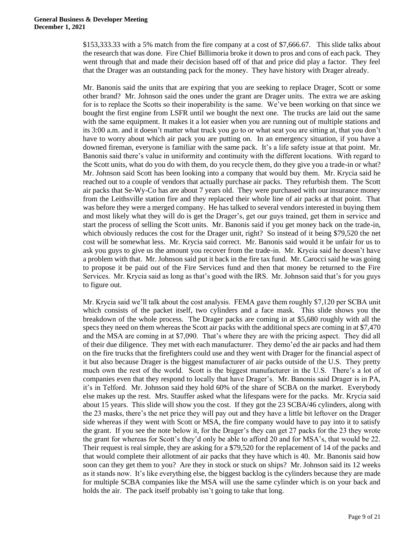\$153,333.33 with a 5% match from the fire company at a cost of \$7,666.67. This slide talks about the research that was done. Fire Chief Billimoria broke it down to pros and cons of each pack. They went through that and made their decision based off of that and price did play a factor. They feel that the Drager was an outstanding pack for the money. They have history with Drager already.

Mr. Banonis said the units that are expiring that you are seeking to replace Drager, Scott or some other brand? Mr. Johnson said the ones under the grant are Drager units. The extra we are asking for is to replace the Scotts so their inoperability is the same. We've been working on that since we bought the first engine from LSFR until we bought the next one. The trucks are laid out the same with the same equipment. It makes it a lot easier when you are running out of multiple stations and its 3:00 a.m. and it doesn't matter what truck you go to or what seat you are sitting at, that you don't have to worry about which air pack you are putting on. In an emergency situation, if you have a downed fireman, everyone is familiar with the same pack. It's a life safety issue at that point. Mr. Banonis said there's value in uniformity and continuity with the different locations. With regard to the Scott units, what do you do with them, do you recycle them, do they give you a trade-in or what? Mr. Johnson said Scott has been looking into a company that would buy them. Mr. Krycia said he reached out to a couple of vendors that actually purchase air packs. They refurbish them. The Scott air packs that Se-Wy-Co has are about 7 years old. They were purchased with our insurance money from the Leithsville station fire and they replaced their whole line of air packs at that point. That was before they were a merged company. He has talked to several vendors interested in buying them and most likely what they will do is get the Drager's, get our guys trained, get them in service and start the process of selling the Scott units. Mr. Banonis said if you get money back on the trade-in, which obviously reduces the cost for the Drager unit, right? So instead of it being \$79,520 the net cost will be somewhat less. Mr. Krycia said correct. Mr. Banonis said would it be unfair for us to ask you guys to give us the amount you recover from the trade-in. Mr. Krycia said he doesn't have a problem with that. Mr. Johnson said put it back in the fire tax fund. Mr. Carocci said he was going to propose it be paid out of the Fire Services fund and then that money be returned to the Fire Services. Mr. Krycia said as long as that's good with the IRS. Mr. Johnson said that's for you guys to figure out.

Mr. Krycia said we'll talk about the cost analysis. FEMA gave them roughly \$7,120 per SCBA unit which consists of the packet itself, two cylinders and a face mask. This slide shows you the breakdown of the whole process. The Drager packs are coming in at \$5,680 roughly with all the specs they need on them whereas the Scott air packs with the additional specs are coming in at \$7,470 and the MSA are coming in at \$7,090. That's where they are with the pricing aspect. They did all of their due diligence. They met with each manufacturer. They demo'ed the air packs and had them on the fire trucks that the firefighters could use and they went with Drager for the financial aspect of it but also because Drager is the biggest manufacturer of air packs outside of the U.S. They pretty much own the rest of the world. Scott is the biggest manufacturer in the U.S. There's a lot of companies even that they respond to locally that have Drager's. Mr. Banonis said Drager is in PA, it's in Telford. Mr. Johnson said they hold 60% of the share of SCBA on the market. Everybody else makes up the rest. Mrs. Stauffer asked what the lifespans were for the packs. Mr. Krycia said about 15 years. This slide will show you the cost. If they got the 23 SCBA/46 cylinders, along with the 23 masks, there's the net price they will pay out and they have a little bit leftover on the Drager side whereas if they went with Scott or MSA, the fire company would have to pay into it to satisfy the grant. If you see the note below it, for the Drager's they can get 27 packs for the 23 they wrote the grant for whereas for Scott's they'd only be able to afford 20 and for MSA's, that would be 22. Their request is real simple, they are asking for a \$79,520 for the replacement of 14 of the packs and that would complete their allotment of air packs that they have which is 40. Mr. Banonis said how soon can they get them to you? Are they in stock or stuck on ships? Mr. Johnson said its 12 weeks as it stands now. It's like everything else, the biggest backlog is the cylinders because they are made for multiple SCBA companies like the MSA will use the same cylinder which is on your back and holds the air. The pack itself probably isn't going to take that long.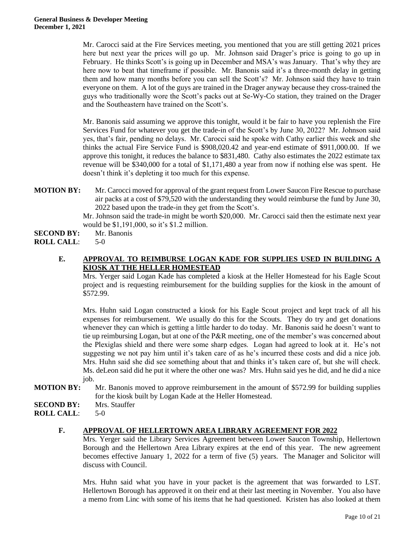Mr. Carocci said at the Fire Services meeting, you mentioned that you are still getting 2021 prices here but next year the prices will go up. Mr. Johnson said Drager's price is going to go up in February. He thinks Scott's is going up in December and MSA's was January. That's why they are here now to beat that timeframe if possible. Mr. Banonis said it's a three-month delay in getting them and how many months before you can sell the Scott's? Mr. Johnson said they have to train everyone on them. A lot of the guys are trained in the Drager anyway because they cross-trained the guys who traditionally wore the Scott's packs out at Se-Wy-Co station, they trained on the Drager and the Southeastern have trained on the Scott's.

Mr. Banonis said assuming we approve this tonight, would it be fair to have you replenish the Fire Services Fund for whatever you get the trade-in of the Scott's by June 30, 2022? Mr. Johnson said yes, that's fair, pending no delays. Mr. Carocci said he spoke with Cathy earlier this week and she thinks the actual Fire Service Fund is \$908,020.42 and year-end estimate of \$911,000.00. If we approve this tonight, it reduces the balance to \$831,480. Cathy also estimates the 2022 estimate tax revenue will be \$340,000 for a total of \$1,171,480 a year from now if nothing else was spent. He doesn't think it's depleting it too much for this expense.

**MOTION BY:** Mr. Carocci moved for approval of the grant request from Lower Saucon Fire Rescue to purchase air packs at a cost of \$79,520 with the understanding they would reimburse the fund by June 30, 2022 based upon the trade-in they get from the Scott's.

Mr. Johnson said the trade-in might be worth \$20,000. Mr. Carocci said then the estimate next year would be \$1,191,000, so it's \$1.2 million.

- **SECOND BY:** Mr. Banonis
- **ROLL CALL**: 5-0
	- **E. APPROVAL TO REIMBURSE LOGAN KADE FOR SUPPLIES USED IN BUILDING A KIOSK AT THE HELLER HOMESTEAD**

Mrs. Yerger said Logan Kade has completed a kiosk at the Heller Homestead for his Eagle Scout project and is requesting reimbursement for the building supplies for the kiosk in the amount of \$572.99.

Mrs. Huhn said Logan constructed a kiosk for his Eagle Scout project and kept track of all his expenses for reimbursement. We usually do this for the Scouts. They do try and get donations whenever they can which is getting a little harder to do today. Mr. Banonis said he doesn't want to tie up reimbursing Logan, but at one of the P&R meeting, one of the member's was concerned about the Plexiglas shield and there were some sharp edges. Logan had agreed to look at it. He's not suggesting we not pay him until it's taken care of as he's incurred these costs and did a nice job. Mrs. Huhn said she did see something about that and thinks it's taken care of, but she will check. Ms. deLeon said did he put it where the other one was? Mrs. Huhn said yes he did, and he did a nice job.

- **MOTION BY:** Mr. Banonis moved to approve reimbursement in the amount of \$572.99 for building supplies for the kiosk built by Logan Kade at the Heller Homestead.
- **SECOND BY:** Mrs. Stauffer
- **ROLL CALL**: 5-0

## **F. APPROVAL OF HELLERTOWN AREA LIBRARY AGREEMENT FOR 2022**

Mrs. Yerger said the Library Services Agreement between Lower Saucon Township, Hellertown Borough and the Hellertown Area Library expires at the end of this year. The new agreement becomes effective January 1, 2022 for a term of five (5) years. The Manager and Solicitor will discuss with Council.

Mrs. Huhn said what you have in your packet is the agreement that was forwarded to LST. Hellertown Borough has approved it on their end at their last meeting in November. You also have a memo from Linc with some of his items that he had questioned. Kristen has also looked at them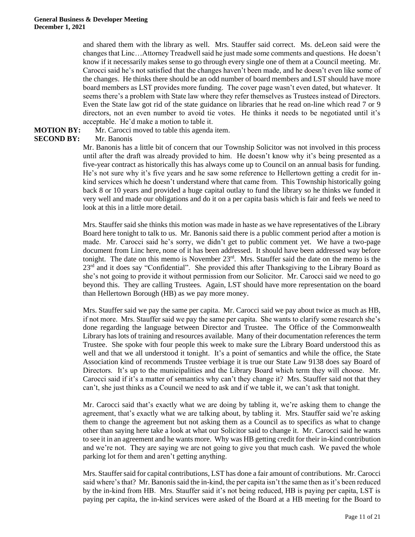and shared them with the library as well. Mrs. Stauffer said correct. Ms. deLeon said were the changes that Linc…Attorney Treadwell said he just made some comments and questions. He doesn't know if it necessarily makes sense to go through every single one of them at a Council meeting. Mr. Carocci said he's not satisfied that the changes haven't been made, and he doesn't even like some of the changes. He thinks there should be an odd number of board members and LST should have more board members as LST provides more funding. The cover page wasn't even dated, but whatever. It seems there's a problem with State law where they refer themselves as Trustees instead of Directors. Even the State law got rid of the state guidance on libraries that he read on-line which read 7 or 9 directors, not an even number to avoid tie votes. He thinks it needs to be negotiated until it's acceptable. He'd make a motion to table it.

# **SECOND BY:** Mr. Banonis

#### **MOTION BY:** Mr. Carocci moved to table this agenda item.

Mr. Banonis has a little bit of concern that our Township Solicitor was not involved in this process until after the draft was already provided to him. He doesn't know why it's being presented as a five-year contract as historically this has always come up to Council on an annual basis for funding. He's not sure why it's five years and he saw some reference to Hellertown getting a credit for inkind services which he doesn't understand where that came from. This Township historically going back 8 or 10 years and provided a huge capital outlay to fund the library so he thinks we funded it very well and made our obligations and do it on a per capita basis which is fair and feels we need to look at this in a little more detail.

Mrs. Stauffer said she thinks this motion was made in haste as we have representatives of the Library Board here tonight to talk to us. Mr. Banonis said there is a public comment period after a motion is made. Mr. Carocci said he's sorry, we didn't get to public comment yet. We have a two-page document from Linc here, none of it has been addressed. It should have been addressed way before tonight. The date on this memo is November 23<sup>rd</sup>. Mrs. Stauffer said the date on the memo is the 23<sup>rd</sup> and it does say "Confidential". She provided this after Thanksgiving to the Library Board as she's not going to provide it without permission from our Solicitor. Mr. Carocci said we need to go beyond this. They are calling Trustees. Again, LST should have more representation on the board than Hellertown Borough (HB) as we pay more money.

Mrs. Stauffer said we pay the same per capita. Mr. Carocci said we pay about twice as much as HB, if not more. Mrs. Stauffer said we pay the same per capita. She wants to clarify some research she's done regarding the language between Director and Trustee. The Office of the Commonwealth Library has lots of training and resources available. Many of their documentation references the term Trustee. She spoke with four people this week to make sure the Library Board understood this as well and that we all understood it tonight. It's a point of semantics and while the office, the State Association kind of recommends Trustee verbiage it is true our State Law 9138 does say Board of Directors. It's up to the municipalities and the Library Board which term they will choose. Mr. Carocci said if it's a matter of semantics why can't they change it? Mrs. Stauffer said not that they can't, she just thinks as a Council we need to ask and if we table it, we can't ask that tonight.

Mr. Carocci said that's exactly what we are doing by tabling it, we're asking them to change the agreement, that's exactly what we are talking about, by tabling it. Mrs. Stauffer said we're asking them to change the agreement but not asking them as a Council as to specifics as what to change other than saying here take a look at what our Solicitor said to change it. Mr. Carocci said he wants to see it in an agreement and he wants more. Why was HB getting credit for their in-kind contribution and we're not. They are saying we are not going to give you that much cash. We paved the whole parking lot for them and aren't getting anything.

Mrs. Stauffer said for capital contributions, LST has done a fair amount of contributions. Mr. Carocci said where's that? Mr. Banonis said the in-kind, the per capita isn't the same then as it's been reduced by the in-kind from HB. Mrs. Stauffer said it's not being reduced, HB is paying per capita, LST is paying per capita, the in-kind services were asked of the Board at a HB meeting for the Board to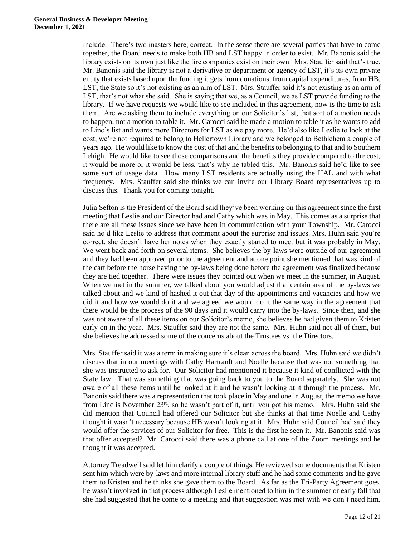#### **General Business & Developer Meeting December 1, 2021**

include. There's two masters here, correct. In the sense there are several parties that have to come together, the Board needs to make both HB and LST happy in order to exist. Mr. Banonis said the library exists on its own just like the fire companies exist on their own. Mrs. Stauffer said that's true. Mr. Banonis said the library is not a derivative or department or agency of LST, it's its own private entity that exists based upon the funding it gets from donations, from capital expenditures, from HB, LST, the State so it's not existing as an arm of LST. Mrs. Stauffer said it's not existing as an arm of LST, that's not what she said. She is saying that we, as a Council, we as LST provide funding to the library. If we have requests we would like to see included in this agreement, now is the time to ask them. Are we asking them to include everything on our Solicitor's list, that sort of a motion needs to happen, not a motion to table it. Mr. Carocci said he made a motion to table it as he wants to add to Linc's list and wants more Directors for LST as we pay more. He'd also like Leslie to look at the cost, we're not required to belong to Hellertown Library and we belonged to Bethlehem a couple of years ago. He would like to know the cost of that and the benefits to belonging to that and to Southern Lehigh. He would like to see those comparisons and the benefits they provide compared to the cost, it would be more or it would be less, that's why he tabled this. Mr. Banonis said he'd like to see some sort of usage data. How many LST residents are actually using the HAL and with what frequency. Mrs. Stauffer said she thinks we can invite our Library Board representatives up to discuss this. Thank you for coming tonight.

Julia Sefton is the President of the Board said they've been working on this agreement since the first meeting that Leslie and our Director had and Cathy which was in May. This comes as a surprise that there are all these issues since we have been in communication with your Township. Mr. Carocci said he'd like Leslie to address that comment about the surprise and issues. Mrs. Huhn said you're correct, she doesn't have her notes when they exactly started to meet but it was probably in May. We went back and forth on several items. She believes the by-laws were outside of our agreement and they had been approved prior to the agreement and at one point she mentioned that was kind of the cart before the horse having the by-laws being done before the agreement was finalized because they are tied together. There were issues they pointed out when we meet in the summer, in August. When we met in the summer, we talked about you would adjust that certain area of the by-laws we talked about and we kind of hashed it out that day of the appointments and vacancies and how we did it and how we would do it and we agreed we would do it the same way in the agreement that there would be the process of the 90 days and it would carry into the by-laws. Since then, and she was not aware of all these items on our Solicitor's memo, she believes he had given them to Kristen early on in the year. Mrs. Stauffer said they are not the same. Mrs. Huhn said not all of them, but she believes he addressed some of the concerns about the Trustees vs. the Directors.

Mrs. Stauffer said it was a term in making sure it's clean across the board. Mrs. Huhn said we didn't discuss that in our meetings with Cathy Hartranft and Noelle because that was not something that she was instructed to ask for. Our Solicitor had mentioned it because it kind of conflicted with the State law. That was something that was going back to you to the Board separately. She was not aware of all these items until he looked at it and he wasn't looking at it through the process. Mr. Banonis said there was a representation that took place in May and one in August, the memo we have from Linc is November 23rd, so he wasn't part of it, until you got his memo. Mrs. Huhn said she did mention that Council had offered our Solicitor but she thinks at that time Noelle and Cathy thought it wasn't necessary because HB wasn't looking at it. Mrs. Huhn said Council had said they would offer the services of our Solicitor for free. This is the first he seen it. Mr. Banonis said was that offer accepted? Mr. Carocci said there was a phone call at one of the Zoom meetings and he thought it was accepted.

Attorney Treadwell said let him clarify a couple of things. He reviewed some documents that Kristen sent him which were by-laws and more internal library stuff and he had some comments and he gave them to Kristen and he thinks she gave them to the Board. As far as the Tri-Party Agreement goes, he wasn't involved in that process although Leslie mentioned to him in the summer or early fall that she had suggested that he come to a meeting and that suggestion was met with we don't need him.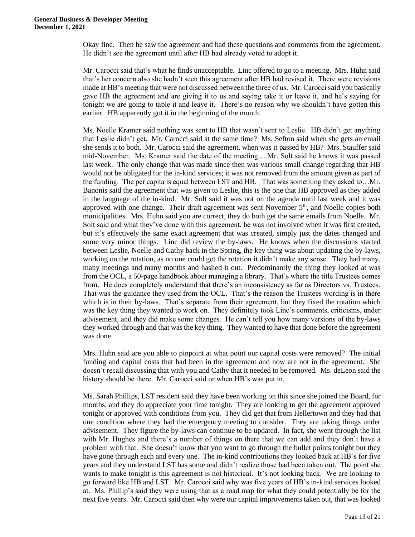Okay fine. Then he saw the agreement and had these questions and comments from the agreement. He didn't see the agreement until after HB had already voted to adopt it.

Mr. Carocci said that's what he finds unacceptable. Linc offered to go to a meeting. Mrs. Huhn said that's her concern also she hadn't seen this agreement after HB had revised it. There were revisions made at HB's meeting that were not discussed between the three of us. Mr. Carocci said you basically gave HB the agreement and are giving it to us and saying take it or leave it, and he's saying for tonight we are going to table it and leave it. There's no reason why we shouldn't have gotten this earlier. HB apparently got it in the beginning of the month.

Ms. Noelle Kramer said nothing was sent to HB that wasn't sent to Leslie. HB didn't get anything that Leslie didn't get. Mr. Carocci said at the same time? Ms. Sefton said when she gets an email she sends it to both. Mr. Carocci said the agreement, when was it passed by HB? Mrs. Stauffer said mid-November. Ms. Kramer said the date of the meeting….Mr. Solt said he knows it was passed last week. The only change that was made since then was various small change regarding that HB would not be obligated for the in-kind services; it was not removed from the amount given as part of the funding. The per capita is equal between LST and HB. That was something they asked to…Mr. Banonis said the agreement that was given to Leslie, this is the one that HB approved as they added in the language of the in-kind. Mr. Solt said it was not on the agenda until last week and it was approved with one change. Their draft agreement was sent November 5<sup>th</sup>, and Noelle copies both municipalities. Mrs. Huhn said you are correct, they do both get the same emails from Noelle. Mr. Solt said and what they've done with this agreement, he was not involved when it was first created, but it's effectively the same exact agreement that was created, simply just the dates changed and some very minor things. Linc did review the by-laws. He knows when the discussions started between Leslie, Noelle and Cathy back in the Spring, the key thing was about updating the by-laws, working on the rotation, as no one could get the rotation it didn't make any sense. They had many, many meetings and many months and hashed it out. Predominantly the thing they looked at was from the OCL, a 50-page handbook about managing a library. That's where the title Trustees comes from. He does completely understand that there's an inconsistency as far as Directors vs. Trustees. That was the guidance they used from the OCL. That's the reason the Trustees wording is in there which is in their by-laws. That's separate from their agreement, but they fixed the rotation which was the key thing they wanted to work on. They definitely took Linc's comments, criticisms, under advisement, and they did make some changes. He can't tell you how many versions of the by-laws they worked through and that was the key thing. They wanted to have that done before the agreement was done.

Mrs. Huhn said are you able to pinpoint at what point our capital costs were removed? The initial funding and capital costs that had been in the agreement and now are not in the agreement. She doesn't recall discussing that with you and Cathy that it needed to be removed. Ms. deLeon said the history should be there. Mr. Carocci said or when HB's was put in.

Ms. Sarah Phillips, LST resident said they have been working on this since she joined the Board, for months, and they do appreciate your time tonight. They are looking to get the agreement approved tonight or approved with conditions from you. They did get that from Hellertown and they had that one condition where they had the emergency meeting to consider. They are taking things under advisement. They figure the by-laws can continue to be updated. In fact, she went through the list with Mr. Hughes and there's a number of things on there that we can add and they don't have a problem with that. She doesn't know that you want to go through the bullet points tonight but they have gone through each and every one. The in-kind contributions they looked back at HB's for five years and they understand LST has some and didn't realize those had been taken out. The point she wants to make tonight is this agreement is not historical. It's not looking back. We are looking to go forward like HB and LST. Mr. Carocci said why was five years of HB's in-kind services looked at. Ms. Phillip's said they were using that as a road map for what they could potentially be for the next five years. Mr. Carocci said then why were our capital improvements taken out, that was looked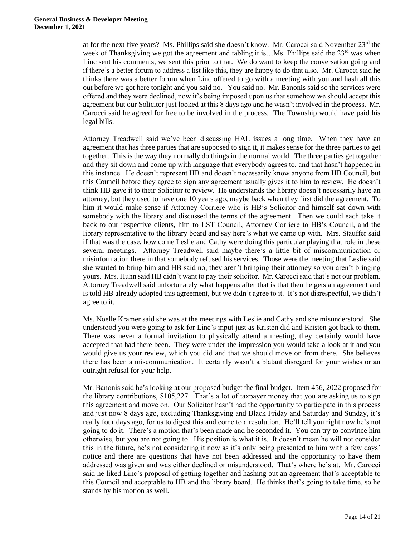at for the next five years? Ms. Phillips said she doesn't know. Mr. Carocci said November  $23<sup>rd</sup>$  the week of Thanksgiving we got the agreement and tabling it is... Ms. Phillips said the  $23<sup>rd</sup>$  was when Linc sent his comments, we sent this prior to that. We do want to keep the conversation going and if there's a better forum to address a list like this, they are happy to do that also. Mr. Carocci said he thinks there was a better forum when Linc offered to go with a meeting with you and hash all this out before we got here tonight and you said no. You said no. Mr. Banonis said so the services were offered and they were declined, now it's being imposed upon us that somehow we should accept this agreement but our Solicitor just looked at this 8 days ago and he wasn't involved in the process. Mr. Carocci said he agreed for free to be involved in the process. The Township would have paid his legal bills.

Attorney Treadwell said we've been discussing HAL issues a long time. When they have an agreement that has three parties that are supposed to sign it, it makes sense for the three parties to get together. This is the way they normally do things in the normal world. The three parties get together and they sit down and come up with language that everybody agrees to, and that hasn't happened in this instance. He doesn't represent HB and doesn't necessarily know anyone from HB Council, but this Council before they agree to sign any agreement usually gives it to him to review. He doesn't think HB gave it to their Solicitor to review. He understands the library doesn't necessarily have an attorney, but they used to have one 10 years ago, maybe back when they first did the agreement. To him it would make sense if Attorney Corriere who is HB's Solicitor and himself sat down with somebody with the library and discussed the terms of the agreement. Then we could each take it back to our respective clients, him to LST Council, Attorney Corriere to HB's Council, and the library representative to the library board and say here's what we came up with. Mrs. Stauffer said if that was the case, how come Leslie and Cathy were doing this particular playing that role in these several meetings. Attorney Treadwell said maybe there's a little bit of miscommunication or misinformation there in that somebody refused his services. Those were the meeting that Leslie said she wanted to bring him and HB said no, they aren't bringing their attorney so you aren't bringing yours. Mrs. Huhn said HB didn't want to pay their solicitor. Mr. Carocci said that's not our problem. Attorney Treadwell said unfortunately what happens after that is that then he gets an agreement and is told HB already adopted this agreement, but we didn't agree to it. It's not disrespectful, we didn't agree to it.

Ms. Noelle Kramer said she was at the meetings with Leslie and Cathy and she misunderstood. She understood you were going to ask for Linc's input just as Kristen did and Kristen got back to them. There was never a formal invitation to physically attend a meeting, they certainly would have accepted that had there been. They were under the impression you would take a look at it and you would give us your review, which you did and that we should move on from there. She believes there has been a miscommunication. It certainly wasn't a blatant disregard for your wishes or an outright refusal for your help.

Mr. Banonis said he's looking at our proposed budget the final budget. Item 456, 2022 proposed for the library contributions, \$105,227. That's a lot of taxpayer money that you are asking us to sign this agreement and move on. Our Solicitor hasn't had the opportunity to participate in this process and just now 8 days ago, excluding Thanksgiving and Black Friday and Saturday and Sunday, it's really four days ago, for us to digest this and come to a resolution. He'll tell you right now he's not going to do it. There's a motion that's been made and he seconded it. You can try to convince him otherwise, but you are not going to. His position is what it is. It doesn't mean he will not consider this in the future, he's not considering it now as it's only being presented to him with a few days' notice and there are questions that have not been addressed and the opportunity to have them addressed was given and was either declined or misunderstood. That's where he's at. Mr. Carocci said he liked Linc's proposal of getting together and hashing out an agreement that's acceptable to this Council and acceptable to HB and the library board. He thinks that's going to take time, so he stands by his motion as well.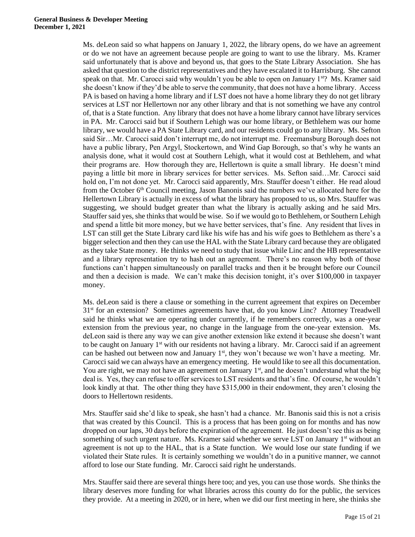Ms. deLeon said so what happens on January 1, 2022, the library opens, do we have an agreement or do we not have an agreement because people are going to want to use the library. Ms. Kramer said unfortunately that is above and beyond us, that goes to the State Library Association. She has asked that question to the district representatives and they have escalated it to Harrisburg. She cannot speak on that. Mr. Carocci said why wouldn't you be able to open on January 1<sup>st</sup>? Ms. Kramer said she doesn't know if they'd be able to serve the community, that does not have a home library. Access PA is based on having a home library and if LST does not have a home library they do not get library services at LST nor Hellertown nor any other library and that is not something we have any control of, that is a State function. Any library that does not have a home library cannot have library services in PA. Mr. Carocci said but if Southern Lehigh was our home library, or Bethlehem was our home library, we would have a PA State Library card, and our residents could go to any library. Ms. Sefton said Sir…Mr. Carocci said don't interrupt me, do not interrupt me. Freemansburg Borough does not have a public library, Pen Argyl, Stockertown, and Wind Gap Borough, so that's why he wants an analysis done, what it would cost at Southern Lehigh, what it would cost at Bethlehem, and what their programs are. How thorough they are, Hellertown is quite a small library. He doesn't mind paying a little bit more in library services for better services. Ms. Sefton said…Mr. Carocci said hold on, I'm not done yet. Mr. Carocci said apparently, Mrs. Stauffer doesn't either. He read aloud from the October 6<sup>th</sup> Council meeting, Jason Banonis said the numbers we've allocated here for the Hellertown Library is actually in excess of what the library has proposed to us, so Mrs. Stauffer was suggesting, we should budget greater than what the library is actually asking and he said Mrs. Stauffer said yes, she thinks that would be wise. So if we would go to Bethlehem, or Southern Lehigh and spend a little bit more money, but we have better services, that's fine. Any resident that lives in LST can still get the State Library card like his wife has and his wife goes to Bethlehem as there's a bigger selection and then they can use the HAL with the State Library card because they are obligated as they take State money. He thinks we need to study that issue while Linc and the HB representative and a library representation try to hash out an agreement. There's no reason why both of those functions can't happen simultaneously on parallel tracks and then it be brought before our Council and then a decision is made. We can't make this decision tonight, it's over \$100,000 in taxpayer money.

Ms. deLeon said is there a clause or something in the current agreement that expires on December 3<sup>1st</sup> for an extension? Sometimes agreements have that, do you know Linc? Attorney Treadwell said he thinks what we are operating under currently, if he remembers correctly, was a one-year extension from the previous year, no change in the language from the one-year extension. Ms. deLeon said is there any way we can give another extension like extend it because she doesn't want to be caught on January 1<sup>st</sup> with our residents not having a library. Mr. Carocci said if an agreement can be hashed out between now and January 1<sup>st</sup>, they won't because we won't have a meeting. Mr. Carocci said we can always have an emergency meeting. He would like to see all this documentation. You are right, we may not have an agreement on January  $1<sup>st</sup>$ , and he doesn't understand what the big deal is. Yes, they can refuse to offer services to LST residents and that's fine. Of course, he wouldn't look kindly at that. The other thing they have \$315,000 in their endowment, they aren't closing the doors to Hellertown residents.

Mrs. Stauffer said she'd like to speak, she hasn't had a chance. Mr. Banonis said this is not a crisis that was created by this Council. This is a process that has been going on for months and has now dropped on our laps, 30 days before the expiration of the agreement. He just doesn't see this as being something of such urgent nature. Ms. Kramer said whether we serve LST on January  $1<sup>st</sup>$  without an agreement is not up to the HAL, that is a State function. We would lose our state funding if we violated their State rules. It is certainly something we wouldn't do in a punitive manner, we cannot afford to lose our State funding. Mr. Carocci said right he understands.

Mrs. Stauffer said there are several things here too; and yes, you can use those words. She thinks the library deserves more funding for what libraries across this county do for the public, the services they provide. At a meeting in 2020, or in here, when we did our first meeting in here, she thinks she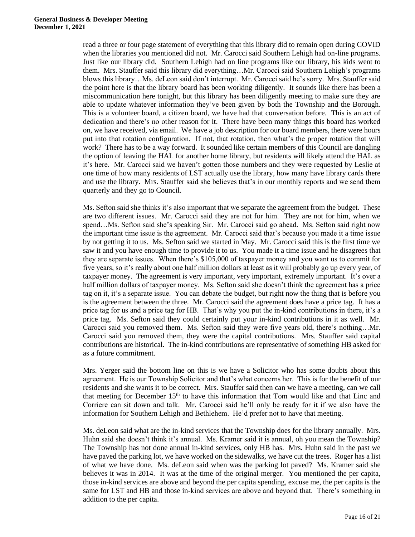read a three or four page statement of everything that this library did to remain open during COVID when the libraries you mentioned did not. Mr. Carocci said Southern Lehigh had on-line programs. Just like our library did. Southern Lehigh had on line programs like our library, his kids went to them. Mrs. Stauffer said this library did everything…Mr. Carocci said Southern Lehigh's programs blows this library…Ms. deLeon said don't interrupt. Mr. Carocci said he's sorry. Mrs. Stauffer said the point here is that the library board has been working diligently. It sounds like there has been a miscommunication here tonight, but this library has been diligently meeting to make sure they are able to update whatever information they've been given by both the Township and the Borough. This is a volunteer board, a citizen board, we have had that conversation before. This is an act of dedication and there's no other reason for it. There have been many things this board has worked on, we have received, via email. We have a job description for our board members, there were hours put into that rotation configuration. If not, that rotation, then what's the proper rotation that will work? There has to be a way forward. It sounded like certain members of this Council are dangling the option of leaving the HAL for another home library, but residents will likely attend the HAL as it's here. Mr. Carocci said we haven't gotten those numbers and they were requested by Leslie at one time of how many residents of LST actually use the library, how many have library cards there and use the library. Mrs. Stauffer said she believes that's in our monthly reports and we send them quarterly and they go to Council.

Ms. Sefton said she thinks it's also important that we separate the agreement from the budget. These are two different issues. Mr. Carocci said they are not for him. They are not for him, when we spend…Ms. Sefton said she's speaking Sir. Mr. Carocci said go ahead. Ms. Sefton said right now the important time issue is the agreement. Mr. Carocci said that's because you made it a time issue by not getting it to us. Ms. Sefton said we started in May. Mr. Carocci said this is the first time we saw it and you have enough time to provide it to us. You made it a time issue and he disagrees that they are separate issues. When there's \$105,000 of taxpayer money and you want us to commit for five years, so it's really about one half million dollars at least as it will probably go up every year, of taxpayer money. The agreement is very important, very important, extremely important. It's over a half million dollars of taxpayer money. Ms. Sefton said she doesn't think the agreement has a price tag on it, it's a separate issue. You can debate the budget, but right now the thing that is before you is the agreement between the three. Mr. Carocci said the agreement does have a price tag. It has a price tag for us and a price tag for HB. That's why you put the in-kind contributions in there, it's a price tag. Ms. Sefton said they could certainly put your in-kind contributions in it as well. Mr. Carocci said you removed them. Ms. Sefton said they were five years old, there's nothing…Mr. Carocci said you removed them, they were the capital contributions. Mrs. Stauffer said capital contributions are historical. The in-kind contributions are representative of something HB asked for as a future commitment.

Mrs. Yerger said the bottom line on this is we have a Solicitor who has some doubts about this agreement. He is our Township Solicitor and that's what concerns her. This is for the benefit of our residents and she wants it to be correct. Mrs. Stauffer said then can we have a meeting, can we call that meeting for December  $15<sup>th</sup>$  to have this information that Tom would like and that Linc and Corriere can sit down and talk. Mr. Carocci said he'll only be ready for it if we also have the information for Southern Lehigh and Bethlehem. He'd prefer not to have that meeting.

Ms. deLeon said what are the in-kind services that the Township does for the library annually. Mrs. Huhn said she doesn't think it's annual. Ms. Kramer said it is annual, oh you mean the Township? The Township has not done annual in-kind services, only HB has. Mrs. Huhn said in the past we have paved the parking lot, we have worked on the sidewalks, we have cut the trees. Roger has a list of what we have done. Ms. deLeon said when was the parking lot paved? Ms. Kramer said she believes it was in 2014. It was at the time of the original merger. You mentioned the per capita, those in-kind services are above and beyond the per capita spending, excuse me, the per capita is the same for LST and HB and those in-kind services are above and beyond that. There's something in addition to the per capita.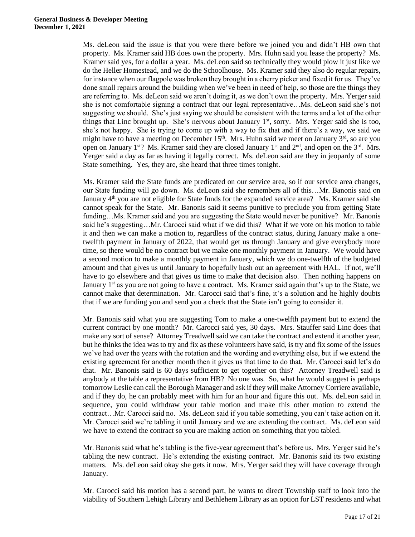Ms. deLeon said the issue is that you were there before we joined you and didn't HB own that property. Ms. Kramer said HB does own the property. Mrs. Huhn said you lease the property? Ms. Kramer said yes, for a dollar a year. Ms. deLeon said so technically they would plow it just like we do the Heller Homestead, and we do the Schoolhouse. Ms. Kramer said they also do regular repairs, for instance when our flagpole was broken they brought in a cherry picker and fixed it for us. They've done small repairs around the building when we've been in need of help, so those are the things they are referring to. Ms. deLeon said we aren't doing it, as we don't own the property. Mrs. Yerger said she is not comfortable signing a contract that our legal representative…Ms. deLeon said she's not suggesting we should. She's just saying we should be consistent with the terms and a lot of the other things that Linc brought up. She's nervous about January  $1<sup>st</sup>$ , sorry. Mrs. Yerger said she is too, she's not happy. She is trying to come up with a way to fix that and if there's a way, we said we might have to have a meeting on December 15<sup>th</sup>. Mrs. Huhn said we meet on January  $3<sup>rd</sup>$ , so are you open on January 1<sup>st</sup>? Ms. Kramer said they are closed January 1<sup>st</sup> and 2<sup>nd</sup>, and open on the 3<sup>rd</sup>. Mrs. Yerger said a day as far as having it legally correct. Ms. deLeon said are they in jeopardy of some State something. Yes, they are, she heard that three times tonight.

Ms. Kramer said the State funds are predicated on our service area, so if our service area changes, our State funding will go down. Ms. deLeon said she remembers all of this…Mr. Banonis said on January  $4<sup>th</sup>$  you are not eligible for State funds for the expanded service area? Ms. Kramer said she cannot speak for the State. Mr. Banonis said it seems punitive to preclude you from getting State funding…Ms. Kramer said and you are suggesting the State would never be punitive? Mr. Banonis said he's suggesting…Mr. Carocci said what if we did this? What if we vote on his motion to table it and then we can make a motion to, regardless of the contract status, during January make a onetwelfth payment in January of 2022, that would get us through January and give everybody more time, so there would be no contract but we make one monthly payment in January. We would have a second motion to make a monthly payment in January, which we do one-twelfth of the budgeted amount and that gives us until January to hopefully hash out an agreement with HAL. If not, we'll have to go elsewhere and that gives us time to make that decision also. Then nothing happens on January 1<sup>st</sup> as you are not going to have a contract. Ms. Kramer said again that's up to the State, we cannot make that determination. Mr. Carocci said that's fine, it's a solution and he highly doubts that if we are funding you and send you a check that the State isn't going to consider it.

Mr. Banonis said what you are suggesting Tom to make a one-twelfth payment but to extend the current contract by one month? Mr. Carocci said yes, 30 days. Mrs. Stauffer said Linc does that make any sort of sense? Attorney Treadwell said we can take the contract and extend it another year, but he thinks the idea was to try and fix as these volunteers have said, is try and fix some of the issues we've had over the years with the rotation and the wording and everything else, but if we extend the existing agreement for another month then it gives us that time to do that. Mr. Carocci said let's do that. Mr. Banonis said is 60 days sufficient to get together on this? Attorney Treadwell said is anybody at the table a representative from HB? No one was. So, what he would suggest is perhaps tomorrow Leslie can call the Borough Manager and ask if they will make Attorney Corriere available, and if they do, he can probably meet with him for an hour and figure this out. Ms. deLeon said in sequence, you could withdraw your table motion and make this other motion to extend the contract…Mr. Carocci said no. Ms. deLeon said if you table something, you can't take action on it. Mr. Carocci said we're tabling it until January and we are extending the contract. Ms. deLeon said we have to extend the contract so you are making action on something that you tabled.

Mr. Banonis said what he's tabling is the five-year agreement that's before us. Mrs. Yerger said he's tabling the new contract. He's extending the existing contract. Mr. Banonis said its two existing matters. Ms. deLeon said okay she gets it now. Mrs. Yerger said they will have coverage through January.

Mr. Carocci said his motion has a second part, he wants to direct Township staff to look into the viability of Southern Lehigh Library and Bethlehem Library as an option for LST residents and what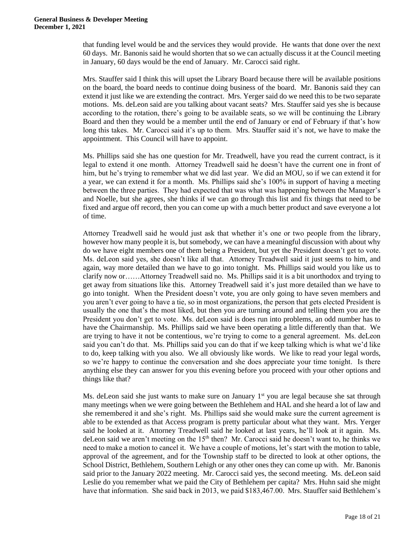that funding level would be and the services they would provide. He wants that done over the next 60 days. Mr. Banonis said he would shorten that so we can actually discuss it at the Council meeting in January, 60 days would be the end of January. Mr. Carocci said right.

Mrs. Stauffer said I think this will upset the Library Board because there will be available positions on the board, the board needs to continue doing business of the board. Mr. Banonis said they can extend it just like we are extending the contract. Mrs. Yerger said do we need this to be two separate motions. Ms. deLeon said are you talking about vacant seats? Mrs. Stauffer said yes she is because according to the rotation, there's going to be available seats, so we will be continuing the Library Board and then they would be a member until the end of January or end of February if that's how long this takes. Mr. Carocci said it's up to them. Mrs. Stauffer said it's not, we have to make the appointment. This Council will have to appoint.

Ms. Phillips said she has one question for Mr. Treadwell, have you read the current contract, is it legal to extend it one month. Attorney Treadwell said he doesn't have the current one in front of him, but he's trying to remember what we did last year. We did an MOU, so if we can extend it for a year, we can extend it for a month. Ms. Phillips said she's 100% in support of having a meeting between the three parties. They had expected that was what was happening between the Manager's and Noelle, but she agrees, she thinks if we can go through this list and fix things that need to be fixed and argue off record, then you can come up with a much better product and save everyone a lot of time.

Attorney Treadwell said he would just ask that whether it's one or two people from the library, however how many people it is, but somebody, we can have a meaningful discussion with about why do we have eight members one of them being a President, but yet the President doesn't get to vote. Ms. deLeon said yes, she doesn't like all that. Attorney Treadwell said it just seems to him, and again, way more detailed than we have to go into tonight. Ms. Phillips said would you like us to clarify now or……Attorney Treadwell said no. Ms. Phillips said it is a bit unorthodox and trying to get away from situations like this. Attorney Treadwell said it's just more detailed than we have to go into tonight. When the President doesn't vote, you are only going to have seven members and you aren't ever going to have a tie, so in most organizations, the person that gets elected President is usually the one that's the most liked, but then you are turning around and telling them you are the President you don't get to vote. Ms. deLeon said is does run into problems, an odd number has to have the Chairmanship. Ms. Phillips said we have been operating a little differently than that. We are trying to have it not be contentious, we're trying to come to a general agreement. Ms. deLeon said you can't do that. Ms. Phillips said you can do that if we keep talking which is what we'd like to do, keep talking with you also. We all obviously like words. We like to read your legal words, so we're happy to continue the conversation and she does appreciate your time tonight. Is there anything else they can answer for you this evening before you proceed with your other options and things like that?

Ms. deLeon said she just wants to make sure on January  $1<sup>st</sup>$  you are legal because she sat through many meetings when we were going between the Bethlehem and HAL and she heard a lot of law and she remembered it and she's right. Ms. Phillips said she would make sure the current agreement is able to be extended as that Access program is pretty particular about what they want. Mrs. Yerger said he looked at it. Attorney Treadwell said he looked at last years, he'll look at it again. Ms. deLeon said we aren't meeting on the  $15<sup>th</sup>$  then? Mr. Carocci said he doesn't want to, he thinks we need to make a motion to cancel it. We have a couple of motions, let's start with the motion to table, approval of the agreement, and for the Township staff to be directed to look at other options, the School District, Bethlehem, Southern Lehigh or any other ones they can come up with. Mr. Banonis said prior to the January 2022 meeting. Mr. Carocci said yes, the second meeting. Ms. deLeon said Leslie do you remember what we paid the City of Bethlehem per capita? Mrs. Huhn said she might have that information. She said back in 2013, we paid \$183,467.00. Mrs. Stauffer said Bethlehem's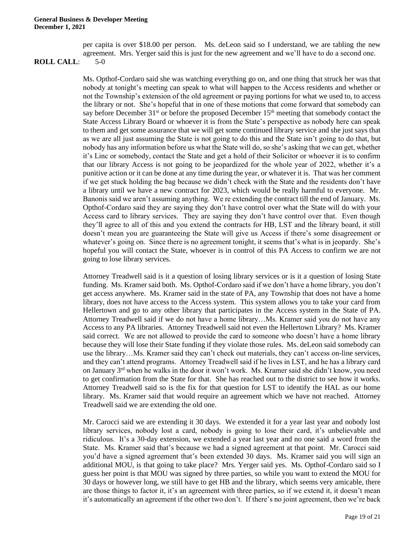per capita is over \$18.00 per person. Ms. deLeon said so I understand, we are tabling the new agreement. Mrs. Yerger said this is just for the new agreement and we'll have to do a second one.

#### **ROLL CALL**: 5-0

Ms. Opthof-Cordaro said she was watching everything go on, and one thing that struck her was that nobody at tonight's meeting can speak to what will happen to the Access residents and whether or not the Township's extension of the old agreement or paying portions for what we used to, to access the library or not. She's hopeful that in one of these motions that come forward that somebody can say before December  $31<sup>st</sup>$  or before the proposed December  $15<sup>th</sup>$  meeting that somebody contact the State Access Library Board or whoever it is from the State's perspective as nobody here can speak to them and get some assurance that we will get some continued library service and she just says that as we are all just assuming the State is not going to do this and the State isn't going to do that, but nobody has any information before us what the State will do, so she's asking that we can get, whether it's Linc or somebody, contact the State and get a hold of their Solicitor or whoever it is to confirm that our library Access is not going to be jeopardized for the whole year of 2022, whether it's a punitive action or it can be done at any time during the year, or whatever it is. That was her comment if we get stuck holding the bag because we didn't check with the State and the residents don't have a library until we have a new contract for 2023, which would be really harmful to everyone. Mr. Banonis said we aren't assuming anything. We re extending the contract till the end of January. Ms. Opthof-Cordaro said they are saying they don't have control over what the State will do with your Access card to library services. They are saying they don't have control over that. Even though they'll agree to all of this and you extend the contracts for HB, LST and the library board, it still doesn't mean you are guaranteeing the State will give us Access if there's some disagreement or whatever's going on. Since there is no agreement tonight, it seems that's what is in jeopardy. She's hopeful you will contact the State, whoever is in control of this PA Access to confirm we are not going to lose library services.

Attorney Treadwell said is it a question of losing library services or is it a question of losing State funding. Ms. Kramer said both. Ms. Opthof-Cordaro said if we don't have a home library, you don't get access anywhere. Ms. Kramer said in the state of PA, any Township that does not have a home library, does not have access to the Access system. This system allows you to take your card from Hellertown and go to any other library that participates in the Access system in the State of PA. Attorney Treadwell said if we do not have a home library…Ms. Kramer said you do not have any Access to any PA libraries. Attorney Treadwell said not even the Hellertown Library? Ms. Kramer said correct. We are not allowed to provide the card to someone who doesn't have a home library because they will lose their State funding if they violate those rules. Ms. deLeon said somebody can use the library…Ms. Kramer said they can't check out materials, they can't access on-line services, and they can't attend programs. Attorney Treadwell said if he lives in LST, and he has a library card on January  $3<sup>rd</sup>$  when he walks in the door it won't work. Ms. Kramer said she didn't know, you need to get confirmation from the State for that. She has reached out to the district to see how it works. Attorney Treadwell said so is the fix for that question for LST to identify the HAL as our home library. Ms. Kramer said that would require an agreement which we have not reached. Attorney Treadwell said we are extending the old one.

Mr. Carocci said we are extending it 30 days. We extended it for a year last year and nobody lost library services, nobody lost a card, nobody is going to lose their card, it's unbelievable and ridiculous. It's a 30-day extension, we extended a year last year and no one said a word from the State. Ms. Kramer said that's because we had a signed agreement at that point. Mr. Carocci said you'd have a signed agreement that's been extended 30 days. Ms. Kramer said you will sign an additional MOU, is that going to take place? Mrs. Yerger said yes. Ms. Opthof-Cordaro said so I guess her point is that MOU was signed by three parties, so while you want to extend the MOU for 30 days or however long, we still have to get HB and the library, which seems very amicable, there are those things to factor it, it's an agreement with three parties, so if we extend it, it doesn't mean it's automatically an agreement if the other two don't. If there's no joint agreement, then we're back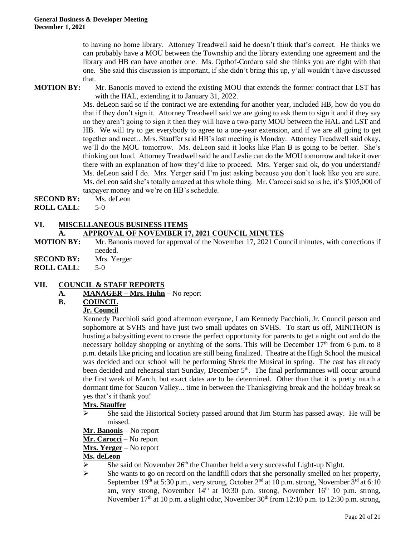to having no home library. Attorney Treadwell said he doesn't think that's correct. He thinks we can probably have a MOU between the Township and the library extending one agreement and the library and HB can have another one. Ms. Opthof-Cordaro said she thinks you are right with that one. She said this discussion is important, if she didn't bring this up, y'all wouldn't have discussed that.

**MOTION BY:** Mr. Banonis moved to extend the existing MOU that extends the former contract that LST has with the HAL, extending it to January 31, 2022.

> Ms. deLeon said so if the contract we are extending for another year, included HB, how do you do that if they don't sign it. Attorney Treadwell said we are going to ask them to sign it and if they say no they aren't going to sign it then they will have a two-party MOU between the HAL and LST and HB. We will try to get everybody to agree to a one-year extension, and if we are all going to get together and meet…Mrs. Stauffer said HB's last meeting is Monday. Attorney Treadwell said okay, we'll do the MOU tomorrow. Ms. deLeon said it looks like Plan B is going to be better. She's thinking out loud. Attorney Treadwell said he and Leslie can do the MOU tomorrow and take it over there with an explanation of how they'd like to proceed. Mrs. Yerger said ok, do you understand? Ms. deLeon said I do. Mrs. Yerger said I'm just asking because you don't look like you are sure. Ms. deLeon said she's totally amazed at this whole thing. Mr. Carocci said so is he, it's \$105,000 of taxpayer money and we're on HB's schedule.

**SECOND BY:** Ms. deLeon

**ROLL CALL**: 5-0

#### **VI. MISCELLANEOUS BUSINESS ITEMS A. APPROVAL OF NOVEMBER 17, 2021 COUNCIL MINUTES**

- **MOTION BY:** Mr. Banonis moved for approval of the November 17, 2021 Council minutes, with corrections if needed.
- **SECOND BY:** Mrs. Yerger
- **ROLL CALL**: 5-0

## **VII. COUNCIL & STAFF REPORTS**

- **A. MANAGER – Mrs. Huhn** No report
- **B. COUNCIL**

## **Jr. Council**

Kennedy Pacchioli said good afternoon everyone, I am Kennedy Pacchioli, Jr. Council person and sophomore at SVHS and have just two small updates on SVHS. To start us off, MINITHON is hosting a babysitting event to create the perfect opportunity for parents to get a night out and do the necessary holiday shopping or anything of the sorts. This will be December  $17<sup>th</sup>$  from 6 p.m. to 8 p.m. details like pricing and location are still being finalized. Theatre at the High School the musical was decided and our school will be performing Shrek the Musical in spring. The cast has already been decided and rehearsal start Sunday, December  $5<sup>th</sup>$ . The final performances will occur around the first week of March, but exact dates are to be determined. Other than that it is pretty much a dormant time for Saucon Valley... time in between the Thanksgiving break and the holiday break so yes that's it thank you!

## **Mrs. Stauffer**

➢ She said the Historical Society passed around that Jim Sturm has passed away. He will be missed.

# **Mr. Banonis** – No report

- **Mr. Carocci** No report
- **Mrs. Yerger** No report

## **Ms. deLeon**

- $\triangleright$  She said on November 26<sup>th</sup> the Chamber held a very successful Light-up Night.
- ➢ She wants to go on record on the landfill odors that she personally smelled on her property, September 19th at 5:30 p.m., very strong, October 2<sup>nd</sup> at 10 p.m. strong, November  $3<sup>rd</sup>$  at 6:10 am, very strong, November 14<sup>th</sup> at 10:30 p.m. strong, November 16<sup>th</sup> 10 p.m. strong, November  $17<sup>th</sup>$  at 10 p.m. a slight odor, November  $30<sup>th</sup>$  from  $12:10$  p.m. to  $12:30$  p.m. strong,